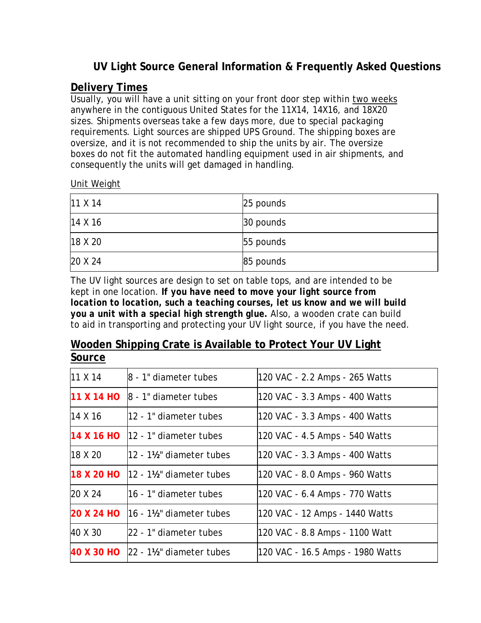# **UV Light Source General Information & Frequently Asked Questions**

#### **Delivery Times**

Usually, you will have a unit sitting on your front door step within two weeks anywhere in the contiguous United States for the 11X14, 14X16, and 18X20 sizes. Shipments overseas take a few days more, due to special packaging requirements. Light sources are shipped UPS Ground. The shipping boxes are oversize, and it is not recommended to ship the units by air. The oversize boxes do not fit the automated handling equipment used in air shipments, and consequently the units will get damaged in handling.

#### Unit Weight

| $11 \times 14$ | 25 pounds |
|----------------|-----------|
| 14 X 16        | 30 pounds |
| 18 X 20        | 55 pounds |
| 20 X 24        | 85 pounds |

The UV light sources are design to set on table tops, and are intended to be kept in one location. *If you have need to move your light source from location to location, such a teaching courses, let us know and we will build you a unit with a special high strength glue.* Also, a wooden crate can build to aid in transporting and protecting your UV light source, if you have the need.

#### **Wooden Shipping Crate is Available to Protect Your UV Light Source**

| 11 X 14 | $ 8 - 1$ " diameter tubes                    | 120 VAC - 2.2 Amps - 265 Watts   |
|---------|----------------------------------------------|----------------------------------|
|         | $11 \times 14$ HO $\,$ 8 - 1" diameter tubes | 120 VAC - 3.3 Amps - 400 Watts   |
| 14 X 16 | 12 - 1" diameter tubes                       | 120 VAC - 3.3 Amps - 400 Watts   |
|         | $14 \times 16$ HO $ 12 - 1 $ diameter tubes  | 120 VAC - 4.5 Amps - 540 Watts   |
| 18 X 20 | $12 - 1\frac{1}{2}$ diameter tubes           | 120 VAC - 3.3 Amps - 400 Watts   |
|         | $18$ X 20 HO $\vert$ 12 - 1½" diameter tubes | 120 VAC - 8.0 Amps - 960 Watts   |
| 20 X 24 | 16 - 1" diameter tubes                       | 120 VAC - 6.4 Amps - 770 Watts   |
|         | $20 X 24 H0$ 16 - 1½" diameter tubes         | 120 VAC - 12 Amps - 1440 Watts   |
| 40 X 30 | 22 - 1" diameter tubes                       | 120 VAC - 8.8 Amps - 1100 Watt   |
|         | 40 X 30 HO 22 - 1½" diameter tubes           | 120 VAC - 16.5 Amps - 1980 Watts |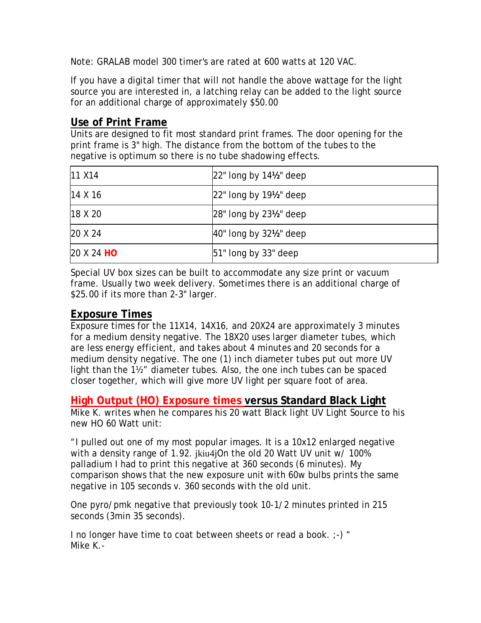Note: GRALAB model 300 timer's are rated at 600 watts at 120 VAC.

If you have a digital timer that will not handle the above wattage for the light source you are interested in, a latching relay can be added to the light source for an additional charge of approximately \$50.00

#### **Use of Print Frame**

Units are designed to fit most standard print frames. The door opening for the print frame is 3" high. The distance from the bottom of the tubes to the negative is optimum so there is no tube shadowing effects.

| <b>11 X14</b>          | $22$ " long by 14 $\frac{1}{2}$ " deep |
|------------------------|----------------------------------------|
| 14 X 16                | $22$ " long by $19\frac{1}{2}$ " deep  |
| 18 X 20                | $28$ " long by $23\frac{1}{2}$ " deep  |
| 20 X 24                | 40" long by 321/2" deep                |
| 20 X 24 H <sub>O</sub> | $51$ " long by 33" deep                |

Special UV box sizes can be built to accommodate any size print or vacuum frame. Usually two week delivery. Sometimes there is an additional charge of \$25.00 if its more than 2-3" larger.

#### **Exposure Times**

Exposure times for the 11X14, 14X16, and 20X24 are approximately 3 minutes for a medium density negative. The 18X20 uses larger diameter tubes, which are less energy efficient, and takes about 4 minutes and 20 seconds for a medium density negative. The one (1) inch diameter tubes put out more UV light than the 1½" diameter tubes. Also, the one inch tubes can be spaced closer together, which will give more UV light per square foot of area.

#### **High Output (HO) Exposure times versus Standard Black Light**

Mike K. writes when he compares his 20 watt Black light UV Light Source to his new HO 60 Watt unit:

"I pulled out one of my most popular images. It is a 10x12 enlarged negative with a density range of 1.92. jkiu4jOn the old 20 Watt UV unit w/ 100% palladium I had to print this negative at 360 seconds (6 minutes). My comparison shows that the new exposure unit with 60w bulbs prints the same negative in 105 seconds v. 360 seconds with the old unit.

One pyro/pmk negative that previously took 10-1/2 minutes printed in 215 seconds (3min 35 seconds).

I no longer have time to coat between sheets or read a book. ;-) " Mike K.-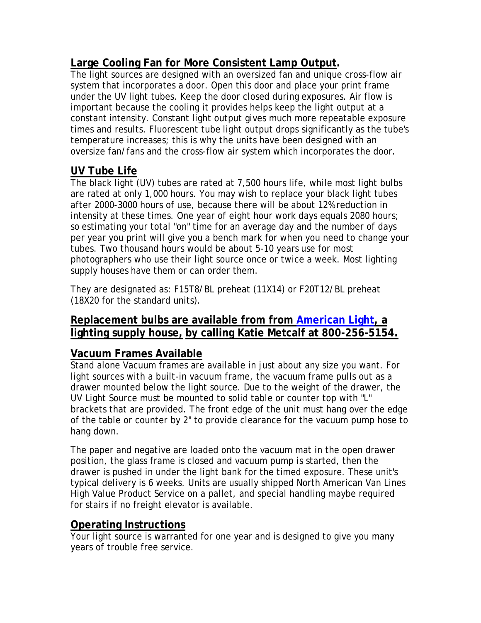### **Large Cooling Fan for More Consistent Lamp Output.**

The light sources are designed with an oversized fan and unique cross-flow air system that incorporates a door. Open this door and place your print frame under the UV light tubes. Keep the door closed during exposures. Air flow is important because the cooling it provides helps keep the light output at a constant intensity. Constant light output gives much more repeatable exposure times and results. Fluorescent tube light output drops significantly as the tube's temperature increases; this is why the units have been designed with an oversize fan/fans and the cross-flow air system which incorporates the door.

# **UV Tube Life**

The black light (UV) tubes are rated at 7,500 hours life, while most light bulbs are rated at only 1,000 hours. You may wish to replace your black light tubes after 2000-3000 hours of use, because there will be about 12% reduction in intensity at these times. One year of eight hour work days equals 2080 hours; so estimating your total "on" time for an average day and the number of days per year you print will give you a bench mark for when you need to change your tubes. Two thousand hours would be about 5-10 years use for most photographers who use their light source once or twice a week. Most lighting supply houses have them or can order them.

They are designated as: F15T8/BL preheat (11X14) or F20T12/BL preheat (18X20 for the standard units).

#### **Replacement bulbs are available from from American Light, a lighting supply house, by calling Katie Metcalf at 800-256-5154.**

### **Vacuum Frames Available**

Stand alone Vacuum frames are available in just about any size you want. For light sources with a built-in vacuum frame, the vacuum frame pulls out as a drawer mounted below the light source. Due to the weight of the drawer, the UV Light Source must be mounted to solid table or counter top with "L" brackets that are provided. The front edge of the unit must hang over the edge of the table or counter by 2" to provide clearance for the vacuum pump hose to hang down.

The paper and negative are loaded onto the vacuum mat in the open drawer position, the glass frame is closed and vacuum pump is started, then the drawer is pushed in under the light bank for the timed exposure. These unit's typical delivery is 6 weeks. Units are usually shipped North American Van Lines High Value Product Service on a pallet, and special handling maybe required for stairs if no freight elevator is available.

### **Operating Instructions**

Your light source is warranted for one year and is designed to give you many years of trouble free service.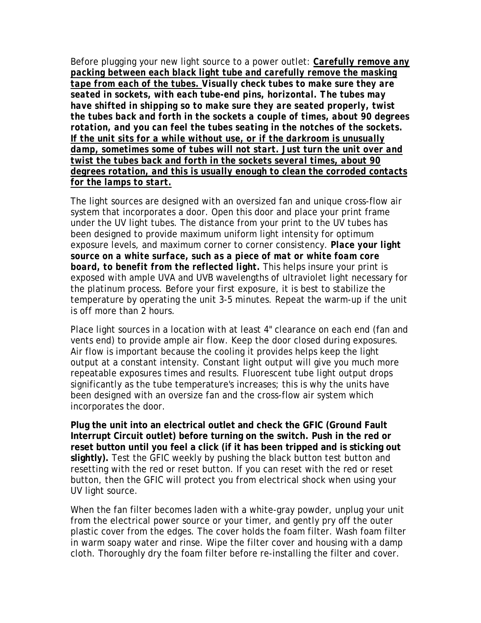Before plugging your new light source to a power outlet: *Carefully remove any packing between each black light tube and carefully remove the masking tape from each of the tubes. Visually check tubes to make sure they are seated in sockets, with each tube-end pins, horizontal. The tubes may have shifted in shipping so to make sure they are seated properly, twist the tubes back and forth in the sockets a couple of times, about 90 degrees rotation, and you can feel the tubes seating in the notches of the sockets. If the unit sits for a while without use, or if the darkroom is unusually damp, sometimes some of tubes will not start. Just turn the unit over and twist the tubes back and forth in the sockets several times, about 90 degrees rotation, and this is usually enough to clean the corroded contacts for the lamps to start.*

The light sources are designed with an oversized fan and unique cross-flow air system that incorporates a door. Open this door and place your print frame under the UV light tubes. The distance from your print to the UV tubes has been designed to provide maximum uniform light intensity for optimum exposure levels, and maximum corner to corner consistency. *Place your light source on a white surface, such as a piece of mat or white foam core board, to benefit from the reflected light.* This helps insure your print is exposed with ample UVA and UVB wavelengths of ultraviolet light necessary for the platinum process. Before your first exposure, it is best to stabilize the temperature by operating the unit 3-5 minutes. Repeat the warm-up if the unit is off more than 2 hours.

Place light sources in a location with at least 4" clearance on each end (fan and vents end) to provide ample air flow. Keep the door closed during exposures. Air flow is important because the cooling it provides helps keep the light output at a constant intensity. Constant light output will give you much more repeatable exposures times and results. Fluorescent tube light output drops significantly as the tube temperature's increases; this is why the units have been designed with an oversize fan and the cross-flow air system which incorporates the door.

**Plug the unit into an electrical outlet and check the GFIC (Ground Fault Interrupt Circuit outlet) before turning on the switch. Push in the red or reset button until you feel a click (if it has been tripped and is sticking out slightly).** Test the GFIC weekly by pushing the black button test button and resetting with the red or reset button. If you can reset with the red or reset button, then the GFIC will protect you from electrical shock when using your UV light source.

When the fan filter becomes laden with a white-gray powder, unplug your unit from the electrical power source or your timer, and gently pry off the outer plastic cover from the edges. The cover holds the foam filter. Wash foam filter in warm soapy water and rinse. Wipe the filter cover and housing with a damp cloth. Thoroughly dry the foam filter before re-installing the filter and cover.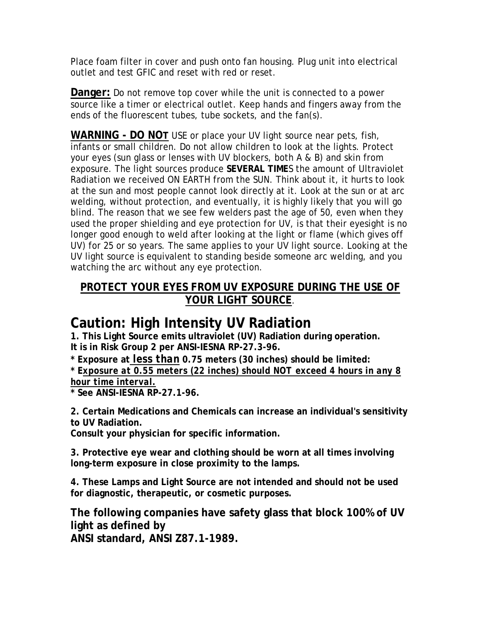Place foam filter in cover and push onto fan housing. Plug unit into electrical outlet and test GFIC and reset with red or reset.

**Danger:** Do not remove top cover while the unit is connected to a power source like a timer or electrical outlet. Keep hands and fingers away from the ends of the fluorescent tubes, tube sockets, and the fan(s).

**WARNING - DO NOT** USE or place your UV light source near pets, fish, infants or small children. Do not allow children to look at the lights. Protect your eyes (sun glass or lenses with UV blockers, both A & B) and skin from exposure. The light sources produce **SEVERAL TIME**S the amount of Ultraviolet Radiation we received ON EARTH from the SUN. Think about it, it hurts to look at the sun and most people cannot look directly at it. Look at the sun or at arc welding, without protection, and eventually, it is highly likely that you will go blind. The reason that we see few welders past the age of 50, even when they used the proper shielding and eye protection for UV, is that their eyesight is no longer good enough to weld after looking at the light or flame (which gives off UV) for 25 or so years. The same applies to your UV light source. Looking at the UV light source is equivalent to standing beside someone arc welding, and you watching the arc without any eye protection.

### **PROTECT YOUR EYES FROM UV EXPOSURE DURING THE USE OF YOUR LIGHT SOURCE**.

# **Caution: High Intensity UV Radiation**

**1. This Light Source emits ultraviolet (UV) Radiation during operation. It is in Risk Group 2 per ANSI-IESNA RP-27.3-96.**

**\* Exposure at** *less than* **0.75 meters (30 inches) should be limited:**

**\* E***xposure at 0.55 meters (22 inches) should NOT exceed 4 hours in any 8 hour time interval.*

**\* See ANSI-IESNA RP-27.1-96.**

**2. Certain Medications and Chemicals can increase an individual's sensitivity to UV Radiation.**

**Consult your physician for specific information.**

**3. Protective eye wear and clothing should be worn at all times involving long-term exposure in close proximity to the lamps.**

**4. These Lamps and Light Source are not intended and should not be used for diagnostic, therapeutic, or cosmetic purposes.**

**The following companies have safety glass that block 100% of UV light as defined by**

**ANSI standard, ANSI Z87.1-1989.**